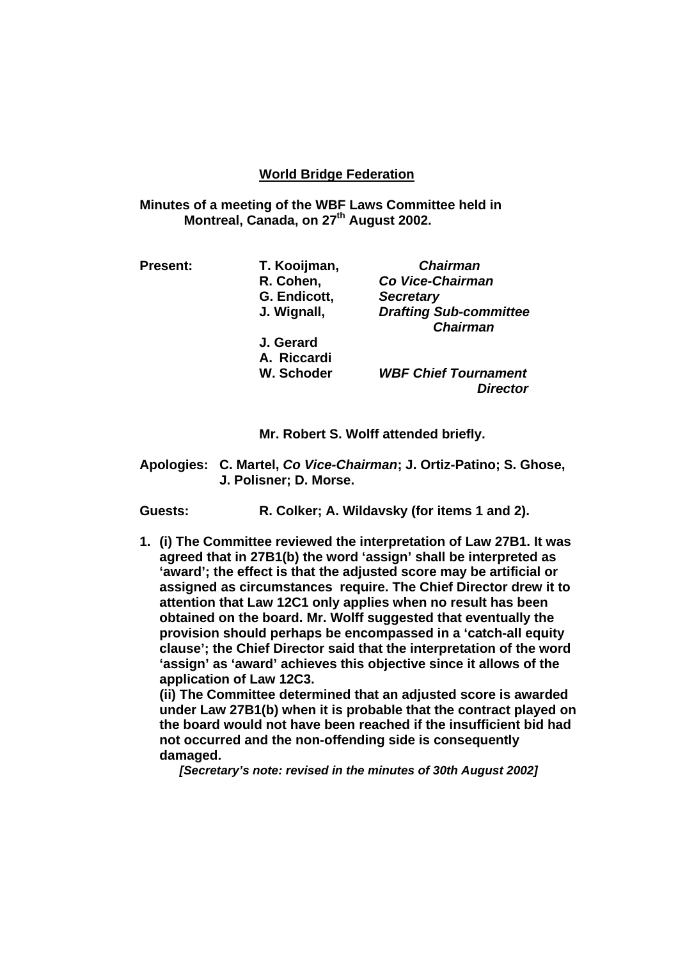## **World Bridge Federation**

**Minutes of a meeting of the WBF Laws Committee held in Montreal, Canada, on 27<sup>th</sup> August 2002.** 

| T. Kooijman, | <b>Chairman</b>                                  |
|--------------|--------------------------------------------------|
| R. Cohen,    | Co Vice-Chairman                                 |
| G. Endicott, | <b>Secretary</b>                                 |
| J. Wignall,  | <b>Drafting Sub-committee</b><br><b>Chairman</b> |
| J. Gerard    |                                                  |
| A. Riccardi  |                                                  |
| W. Schoder   | <b>WBF Chief Tournament</b><br><b>Director</b>   |
|              |                                                  |

 **Mr. Robert S. Wolff attended briefly.** 

**Apologies: C. Martel,** *Co Vice-Chairman***; J. Ortiz-Patino; S. Ghose, J. Polisner; D. Morse.** 

 **Guests: R. Colker; A. Wildavsky (for items 1 and 2).** 

**1. (i) The Committee reviewed the interpretation of Law 27B1. It was agreed that in 27B1(b) the word 'assign' shall be interpreted as 'award'; the effect is that the adjusted score may be artificial or assigned as circumstances require. The Chief Director drew it to attention that Law 12C1 only applies when no result has been obtained on the board. Mr. Wolff suggested that eventually the provision should perhaps be encompassed in a 'catch-all equity clause'; the Chief Director said that the interpretation of the word 'assign' as 'award' achieves this objective since it allows of the application of Law 12C3.** 

**(ii) The Committee determined that an adjusted score is awarded under Law 27B1(b) when it is probable that the contract played on the board would not have been reached if the insufficient bid had not occurred and the non-offending side is consequently damaged.** 

*[Secretary's note: revised in the minutes of 30th August 2002]*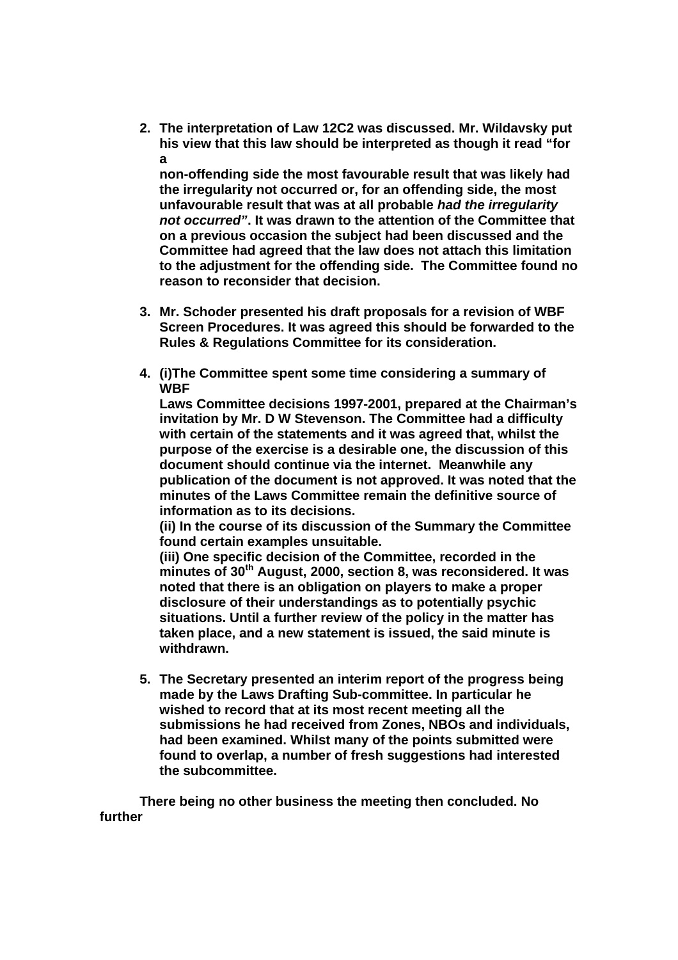**2. The interpretation of Law 12C2 was discussed. Mr. Wildavsky put his view that this law should be interpreted as though it read "for a** 

**non-offending side the most favourable result that was likely had the irregularity not occurred or, for an offending side, the most unfavourable result that was at all probable** *had the irregularity not occurred"***. It was drawn to the attention of the Committee that on a previous occasion the subject had been discussed and the Committee had agreed that the law does not attach this limitation to the adjustment for the offending side. The Committee found no reason to reconsider that decision.** 

- **3. Mr. Schoder presented his draft proposals for a revision of WBF Screen Procedures. It was agreed this should be forwarded to the Rules & Regulations Committee for its consideration.**
- **4. (i)The Committee spent some time considering a summary of WBF**

**Laws Committee decisions 1997-2001, prepared at the Chairman's invitation by Mr. D W Stevenson. The Committee had a difficulty with certain of the statements and it was agreed that, whilst the purpose of the exercise is a desirable one, the discussion of this document should continue via the internet. Meanwhile any publication of the document is not approved. It was noted that the minutes of the Laws Committee remain the definitive source of information as to its decisions.** 

**(ii) In the course of its discussion of the Summary the Committee found certain examples unsuitable.** 

**(iii) One specific decision of the Committee, recorded in the minutes of 30th August, 2000, section 8, was reconsidered. It was noted that there is an obligation on players to make a proper disclosure of their understandings as to potentially psychic situations. Until a further review of the policy in the matter has taken place, and a new statement is issued, the said minute is withdrawn.** 

**5. The Secretary presented an interim report of the progress being made by the Laws Drafting Sub-committee. In particular he wished to record that at its most recent meeting all the submissions he had received from Zones, NBOs and individuals, had been examined. Whilst many of the points submitted were found to overlap, a number of fresh suggestions had interested the subcommittee.** 

 **There being no other business the meeting then concluded. No further**